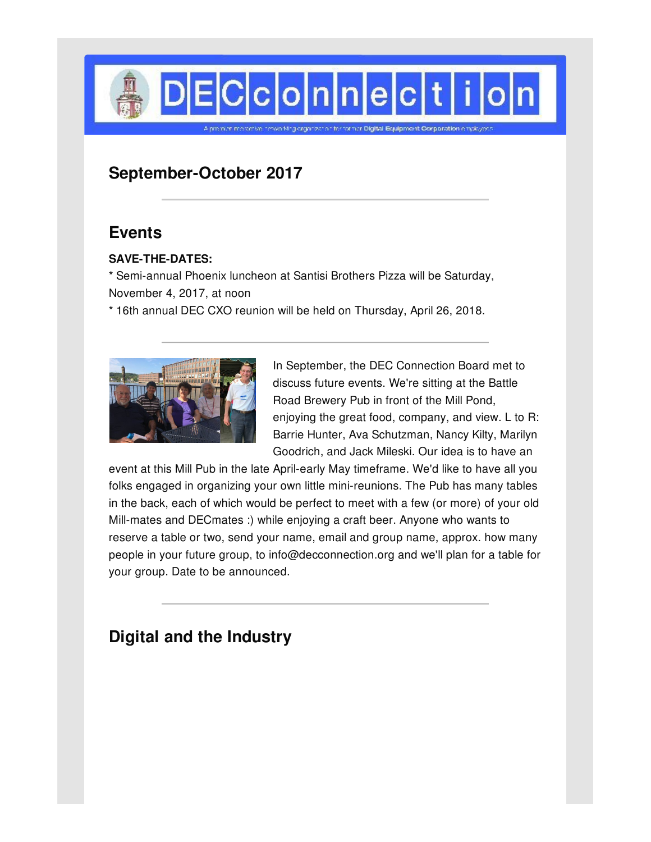

# **September-October 2017**

## **Events**

### **SAVE-THE-DATES:**

\* Semi-annual Phoenix luncheon at Santisi Brothers Pizza will be Saturday, November 4, 2017, at noon

\* 16th annual DEC CXO reunion will be held on Thursday, April 26, 2018.



In September, the DEC Connection Board met to discuss future events. We're sitting at the Battle Road Brewery Pub in front of the Mill Pond, enjoying the great food, company, and view. L to R: Barrie Hunter, Ava Schutzman, Nancy Kilty, Marilyn Goodrich, and Jack Mileski. Our idea is to have an

event at this Mill Pub in the late April-early May timeframe. We'd like to have all you folks engaged in organizing your own little mini-reunions. The Pub has many tables in the back, each of which would be perfect to meet with a few (or more) of your old Mill-mates and DECmates :) while enjoying a craft beer. Anyone who wants to reserve a table or two, send your name, email and group name, approx. how many people in your future group, to info@decconnection.org and we'll plan for a table for your group. Date to be announced.

# **Digital and the Industry**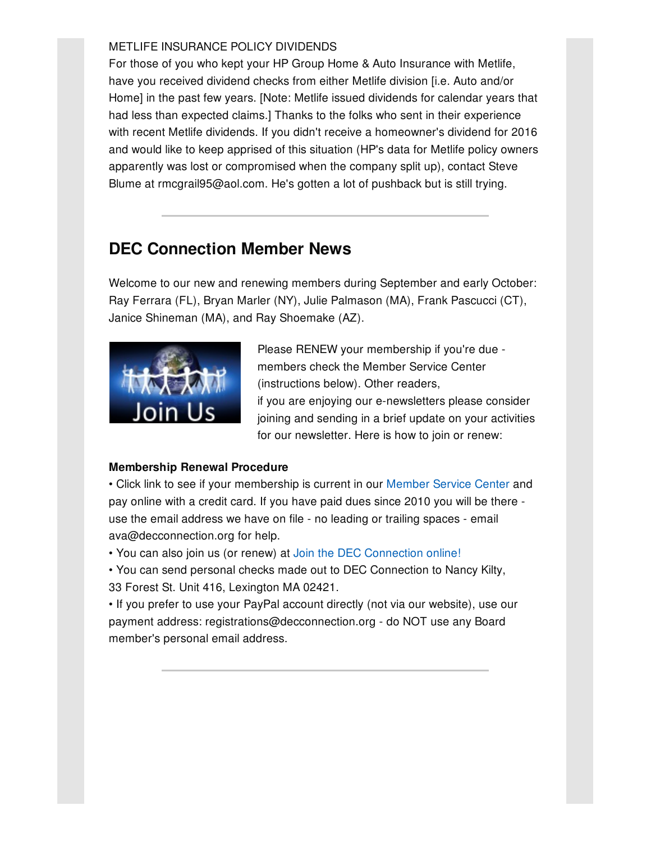### METLIFE INSURANCE POLICY DIVIDENDS

For those of you who kept your HP Group Home & Auto Insurance with Metlife, have you received dividend checks from either Metlife division [i.e. Auto and/or Home] in the past few years. [Note: Metlife issued dividends for calendar years that had less than expected claims.] Thanks to the folks who sent in their experience with recent Metlife dividends. If you didn't receive a homeowner's dividend for 2016 and would like to keep apprised of this situation (HP's data for Metlife policy owners apparently was lost or compromised when the company split up), contact Steve Blume at rmcgrail95@aol.com. He's gotten a lot of pushback but is still trying.

# **DEC Connection Member News**

Welcome to our new and renewing members during September and early October: Ray Ferrara (FL), Bryan Marler (NY), Julie Palmason (MA), Frank Pascucci (CT), Janice Shineman (MA), and Ray Shoemake (AZ).



Please RENEW your membership if you're due members check the Member Service Center (instructions below). Other readers, if you are enjoying our e-newsletters please consider joining and sending in a brief update on your activities for our newsletter. Here is how to join or renew:

### **Membership Renewal Procedure**

• Click link to see if your membership is current in our [Member](http://www.decconnection.org/msclogin.php) Service Center and pay online with a credit card. If you have paid dues since 2010 you will be there use the email address we have on file - no leading or trailing spaces - email ava@decconnection.org for help.

• You can also join us (or renew) at Join the DEC [Connection](http://www.decconnection.org/join-online.htm) online!

• You can send personal checks made out to DEC Connection to Nancy Kilty, 33 Forest St. Unit 416, Lexington MA 02421.

• If you prefer to use your PayPal account directly (not via our website), use our payment address: registrations@decconnection.org - do NOT use any Board member's personal email address.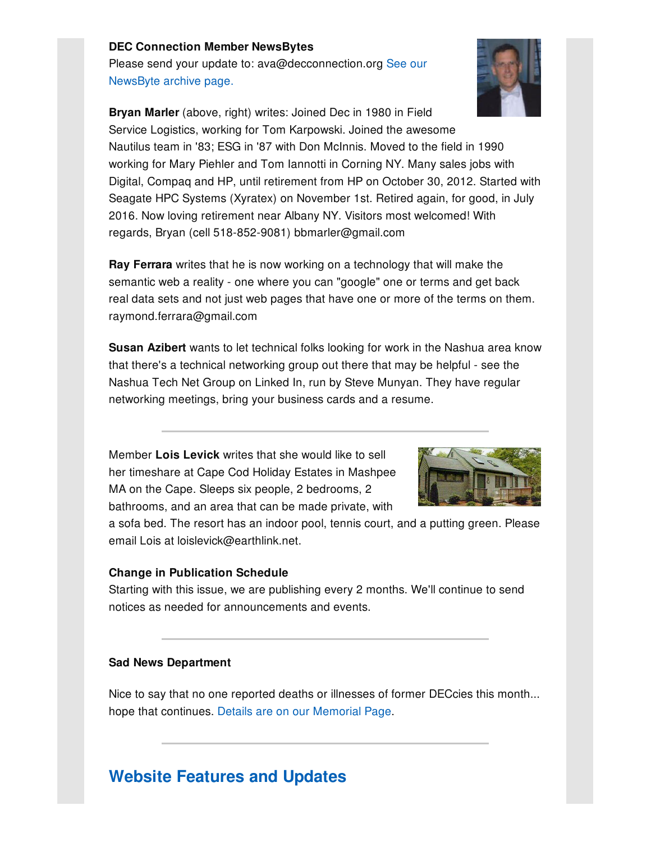#### **DEC Connection Member NewsBytes**

Please send your update to: [ava@decconnection.org](http://www.decconnection.org/newsbytes.htm) See our NewsByte archive page.



**Bryan Marler** (above, right) writes: Joined Dec in 1980 in Field Service Logistics, working for Tom Karpowski. Joined the awesome Nautilus team in '83; ESG in '87 with Don McInnis. Moved to the field in 1990 working for Mary Piehler and Tom Iannotti in Corning NY. Many sales jobs with Digital, Compaq and HP, until retirement from HP on October 30, 2012. Started with Seagate HPC Systems (Xyratex) on November 1st. Retired again, for good, in July 2016. Now loving retirement near Albany NY. Visitors most welcomed! With regards, Bryan (cell 518-852-9081) bbmarler@gmail.com

**Ray Ferrara** writes that he is now working on a technology that will make the semantic web a reality - one where you can "google" one or terms and get back real data sets and not just web pages that have one or more of the terms on them. raymond.ferrara@gmail.com

**Susan Azibert** wants to let technical folks looking for work in the Nashua area know that there's a technical networking group out there that may be helpful - see the Nashua Tech Net Group on Linked In, run by Steve Munyan. They have regular networking meetings, bring your business cards and a resume.

Member **Lois Levick** writes that she would like to sell her timeshare at Cape Cod Holiday Estates in Mashpee MA on the Cape. Sleeps six people, 2 bedrooms, 2 bathrooms, and an area that can be made private, with



a sofa bed. The resort has an indoor pool, tennis court, and a putting green. Please email Lois at loislevick@earthlink.net.

#### **Change in Publication Schedule**

Starting with this issue, we are publishing every 2 months. We'll continue to send notices as needed for announcements and events.

#### **Sad News Department**

Nice to say that no one reported deaths or illnesses of former DECcies this month... hope that continues. Details are on our [Memorial](http://www.decconnection.org/memorials.htm) Page.

## **Website [Features](http://www.decconnection.org) and Updates**